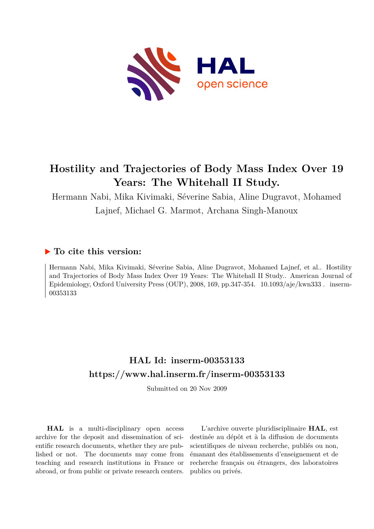

# **Hostility and Trajectories of Body Mass Index Over 19 Years: The Whitehall II Study.**

Hermann Nabi, Mika Kivimaki, Séverine Sabia, Aline Dugravot, Mohamed Lajnef, Michael G. Marmot, Archana Singh-Manoux

## **To cite this version:**

Hermann Nabi, Mika Kivimaki, Séverine Sabia, Aline Dugravot, Mohamed Lajnef, et al.. Hostility and Trajectories of Body Mass Index Over 19 Years: The Whitehall II Study.. American Journal of Epidemiology, Oxford University Press (OUP), 2008, 169, pp.347-354.  $10.1093/aje/kwn333$ . inserm-00353133ff

## **HAL Id: inserm-00353133 <https://www.hal.inserm.fr/inserm-00353133>**

Submitted on 20 Nov 2009

**HAL** is a multi-disciplinary open access archive for the deposit and dissemination of scientific research documents, whether they are published or not. The documents may come from teaching and research institutions in France or abroad, or from public or private research centers.

L'archive ouverte pluridisciplinaire **HAL**, est destinée au dépôt et à la diffusion de documents scientifiques de niveau recherche, publiés ou non, émanant des établissements d'enseignement et de recherche français ou étrangers, des laboratoires publics ou privés.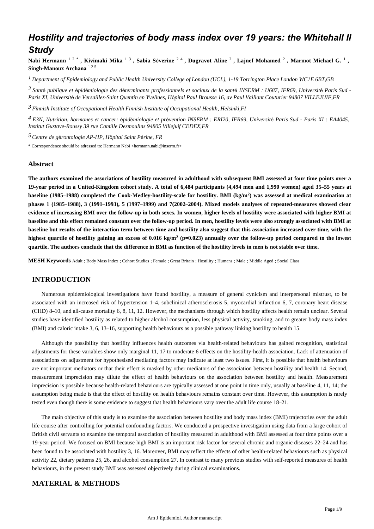## *Hostility and trajectories of body mass index over 19 years: the Whitehall II Study*

Nabi Hermann  $^{1\ 2\ *}$ , Kivimaki Mika  $^{1\ 3}$ , Sabia Séverine  $^{2\ 4}$ , Dugravot Aline  $^2$ , Lajnef Mohamed  $^2$ , Marmot Michael G.  $^1$ , **Singh-Manoux Archana** <sup>1</sup> <sup>2</sup> <sup>5</sup>

*Department of Epidemiology and Public Health 1 University College of London (UCL), 1-19 Torrington Place London WC1E 6BT,GB*

<sup>2</sup> Santé publique et épidémiologie des déterminants professionnels et sociaux de la santé INSERM : U687, IFR69, Université Paris Sud -*Paris XI, Universit*é *de Versailles-Saint Quentin en Yvelines, H*ô*pital Paul Brousse 16, av Paul Vaillant Couturier 94807 VILLEJUIF,FR*

*Finnish Institute of Occupational Health 3 Finnish Institute of Occupational Health, Helsinki,FI*

*E3N, Nutrition, hormones et cancer: pid miologie et pr vention 4* <sup>é</sup> <sup>é</sup> <sup>é</sup> *INSERM : ERI20, IFR69, Universit*é *Paris Sud - Paris XI : EA4045, Institut Gustave-Roussy 39 rue Camille Desmoulins 94805 Villejuif CEDEX,FR*

*Centre de g rontologie 5* <sup>é</sup> *AP-HP, H*ô*pital Saint P*é*rine, FR*

\* Correspondence should be adressed to: Hermann Nabi <hermann.nabi@inserm.fr>

#### **Abstract**

**The authors examined the associations of hostility measured in adulthood with subsequent BMI assessed at four time points over a 19-year period in a United-Kingdom cohort study. A total of 6,484 participants (4,494 men and 1,990 women) aged 35**–**55 years at baseline (1985**–**1988) completed the Cook-Medley-hostility-scale for hostility. BMI (kg/m ) was assessed at medical examination at <sup>2</sup> phases 1 (1985**–**1988), 3 (1991**–**1993), 5 (1997**–**1999) and 7(2002**–**2004). Mixed models analyses of repeated-measures showed clear evidence of increasing BMI over the follow-up in both sexes. In women, higher levels of hostility were associated with higher BMI at baseline and this effect remained constant over the follow-up period. In men, hostility levels were also strongly associated with BMI at baseline but results of the interaction term between time and hostility also suggest that this association increased over time, with the** highest quartile of hostility gaining an excess of  $0.016 \text{ kg/m}^2$  ( $p=0.023$ ) annually over the follow-up period compared to the lowest **quartile. The authors conclude that the difference in BMI as function of the hostility levels in men is not stable over time.**

**MESH Keywords** Adult ; Body Mass Index ; Cohort Studies ; Female ; Great Britain ; Hostility ; Humans ; Male ; Middle Aged ; Social Class

## **INTRODUCTION**

Numerous epidemiological investigations have found hostility, a measure of general cynicism and interpersonal mistrust, to be associated with an increased risk of hypertension 1–4, subclinical atherosclerosis 5, myocardial infarction 6, 7, coronary heart disease (CHD) 8–10, and all-cause mortality 6, 8, 11, 12. However, the mechanisms through which hostility affects health remain unclear. Several studies have identified hostility as related to higher alcohol consumption, less physical activity, smoking, and to greater body mass index (BMI) and caloric intake 3, 6, 13–16, supporting health behaviours as a possible pathway linking hostility to health 15.

Although the possibility that hostility influences health outcomes via health-related behaviours has gained recognition, statistical adjustments for these variables show only marginal 11, 17 to moderate 6 effects on the hostility-health association. Lack of attenuation of associations on adjustment for hypothesised mediating factors may indicate at least two issues. First, it is possible that health behaviours are not important mediators or that their effect is masked by other mediators of the association between hostility and health 14. Second, measurement imprecision may dilute the effect of health behaviours on the association between hostility and health. Measurement imprecision is possible because health-related behaviours are typically assessed at one point in time only, usually at baseline 4, 11, 14; the assumption being made is that the effect of hostility on health behaviours remains constant over time. However, this assumption is rarely tested even though there is some evidence to suggest that health behaviours vary over the adult life course 18–21.

The main objective of this study is to examine the association between hostility and body mass index (BMI) trajectories over the adult life course after controlling for potential confounding factors. We conducted a prospective investigation using data from a large cohort of British civil servants to examine the temporal association of hostility measured in adulthood with BMI assessed at four time points over a 19-year period. We focused on BMI because high BMI is an important risk factor for several chronic and organic diseases 22–24 and has been found to be associated with hostility 3, 16. Moreover, BMI may reflect the effects of other health-related behaviours such as physical activity 22, dietary patterns 25, 26, and alcohol consumption 27. In contrast to many previous studies with self-reported measures of health behaviours, in the present study BMI was assessed objectively during clinical examinations.

## **MATERIAL & METHODS**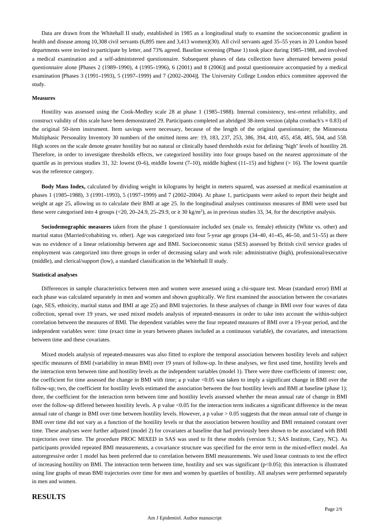Data are drawn from the Whitehall II study, established in 1985 as a longitudinal study to examine the socioeconomic gradient in health and disease among 10,308 civil servants (6,895 men and 3,413 women)(30). All civil servants aged 35–55 years in 20 London based departments were invited to participate by letter, and 73% agreed. Baseline screening (Phase 1) took place during 1985–1988, and involved a medical examination and a self-administered questionnaire. Subsequent phases of data collection have alternated between postal questionnaire alone [Phases 2 (1989–1990), 4 (1995–1996), 6 (2001) and 8 (2006)] and postal questionnaire accompanied by a medical examination [Phases 3 (1991–1993), 5 (1997–1999) and 7 (2002–2004)]. The University College London ethics committee approved the study.

#### **Measures**

Hostility was assessed using the Cook-Medley scale 28 at phase 1 (1985–1988). Internal consistency, test–retest reliability, and construct validity of this scale have been demonstrated 29. Participants completed an abridged 38-item version (alpha cronbach's = 0.83) of the original 50-item instrument. Item savings were necessary, because of the length of the original questionnaire; the Minnesota Multiphasic Personality Inventory 30 numbers of the omitted items are: 19, 183, 237, 253, 386, 394, 410, 455, 458, 485, 504, and 558. High scores on the scale denote greater hostility but no natural or clinically based thresholds exist for defining "high" levels of hostility 28. Therefore, in order to investigate thresholds effects, we categorized hostility into four groups based on the nearest approximate of the quartile as in previous studies 31, 32: lowest (0–6), middle lowest (7–10), middle highest (11–15) and highest (> 16). The lowest quartile was the reference category.

**Body Mass Index,** calculated by dividing weight in kilograms by height in meters squared, was assessed at medical examination at phases 1 (1985–1988), 3 (1991–1993), 5 (1997–1999) and 7 (2002–2004). At phase 1, participants were asked to report their height and weight at age 25, allowing us to calculate their BMI at age 25. In the longitudinal analyses continuous measures of BMI were used but these were categorised into 4 groups (<20, 20–24.9, 25–29.9, or  $\geq$  30 kg/m<sup>2</sup>), as in previous studies 33, 34, for the descriptive analysis.

Sociodemographic measures taken from the phase 1 questionnaire included sex (male vs. female) ethnicity (White vs. other) and marital status (Married/cohabiting vs. other). Age was categorized into four 5-year age groups (34–40, 41–45, 46–50, and 51–55) as there was no evidence of a linear relationship between age and BMI. Socioeconomic status (SES) assessed by British civil service grades of employment was categorized into three groups in order of decreasing salary and work role: administrative (high), professional/executive (middle), and clerical/support (low), a standard classification in the Whitehall II study.

#### **Statistical analyses**

Differences in sample characteristics between men and women were assessed using a chi-square test. Mean (standard error) BMI at each phase was calculated separately in men and women and shown graphically. We first examined the association between the covariates (age, SES, ethnicity, marital status and BMI at age 25) and BMI trajectories. In these analyses of change in BMI over four waves of data collection, spread over 19 years, we used mixed models analysis of repeated-measures in order to take into account the within-subject correlation between the measures of BMI. The dependent variables were the four repeated measures of BMI over a 19-year period, and the independent variables were: time (exact time in years between phases included as a continuous variable), the covariates, and interactions between time and these covariates.

Mixed models analysis of repeated-measures was also fitted to explore the temporal association between hostility levels and subject specific measures of BMI (variability in mean BMI) over 19 years of follow-up. In these analyses, we first used time, hostility levels and the interaction term between time and hostility levels as the independent variables (model 1). There were three coefficients of interest: one, the coefficient for time assessed the change in BMI with time; a p value <0.05 was taken to imply a significant change in BMI over the follow-up; two, the coefficient for hostility levels estimated the association between the four hostility levels and BMI at baseline (phase 1); three, the coefficient for the interaction term between time and hostility levels assessed whether the mean annual rate of change in BMI over the follow-up differed between hostility levels. A p value <0.05 for the interaction term indicates a significant difference in the mean annual rate of change in BMI over time between hostility levels. However, a p value  $> 0.05$  suggests that the mean annual rate of change in BMI over time did not vary as a function of the hostility levels or that the association between hostility and BMI remained constant over time. These analyses were further adjusted (model 2) for covariates at baseline that had previously been shown to be associated with BMI trajectories over time. The procedure PROC MIXED in SAS was used to fit these models (version 9.1; SAS Institute, Cary, NC). As participants provided repeated BMI measurements, a covariance structure was specified for the error term in the mixed-effect model. An autoregressive order 1 model has been preferred due to correlation between BMI measurements. We used linear contrasts to test the effect of increasing hostility on BMI. The interaction term between time, hostility and sex was significant (p<0.05); this interaction is illustrated using line graphs of mean BMI trajectories over time for men and women by quartiles of hostility. All analyses were performed separately in men and women.

#### **RESULTS**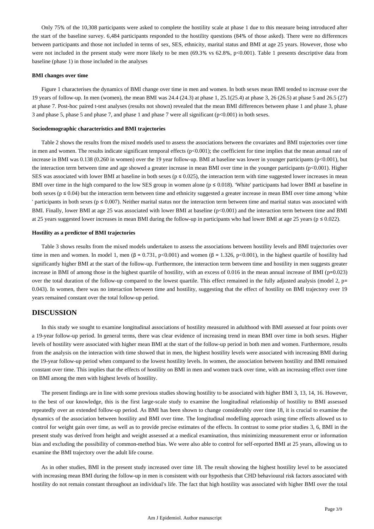Only 75% of the 10,308 participants were asked to complete the hostility scale at phase 1 due to this measure being introduced after the start of the baseline survey. 6,484 participants responded to the hostility questions (84% of those asked). There were no differences between participants and those not included in terms of sex, SES, ethnicity, marital status and BMI at age 25 years. However, those who were not included in the present study were more likely to be men  $(69.3\% \text{ vs } 62.8\%, \text{ p} < 0.001)$ . Table 1 presents descriptive data from baseline (phase 1) in those included in the analyses

#### **BMI changes over time**

Figure 1 characterises the dynamics of BMI change over time in men and women. In both sexes mean BMI tended to increase over the 19 years of follow-up. In men (women), the mean BMI was 24.4 (24.3) at phase 1, 25.1(25.4) at phase 3, 26 (26.5) at phase 5 and 26.5 (27) at phase 7. Post-hoc paired t-test analyses (results not shown) revealed that the mean BMI differences between phase 1 and phase 3, phase 3 and phase 5, phase 5 and phase 7, and phase 1 and phase 7 were all significant (p<0.001) in both sexes.

#### **Sociodemographic characteristics and BMI trajectories**

Table 2 shows the results from the mixed models used to assess the associations between the covariates and BMI trajectories over time in men and women. The results indicate significant temporal effects  $(p<0.001)$ ; the coefficient for time implies that the mean annual rate of increase in BMI was 0.138 (0.260 in women) over the 19 year follow-up. BMI at baseline was lower in younger participants (p<0.001), but the interaction term between time and age showed a greater increase in mean BMI over time in the younger participants (p<0.001). Higher SES was associated with lower BMI at baseline in both sexes ( $p \le 0.025$ ), the interaction term with time suggested lower increases in mean BMI over time in the high compared to the low SES group in women alone ( $p \le 0.018$ ). 'White' participants had lower BMI at baseline in both sexes ( $p \le 0.04$ ) but the interaction term between time and ethnicity suggested a greater increase in mean BMI over time among 'white ' participants in both sexes ( $p \le 0.007$ ). Neither marital status nor the interaction term between time and marital status was associated with BMI. Finally, lower BMI at age 25 was associated with lower BMI at baseline (p<0.001) and the interaction term between time and BMI at 25 years suggested lower increases in mean BMI during the follow-up in participants who had lower BMI at age 25 years ( $p \le 0.022$ ).

#### **Hostility as a predictor of BMI trajectories**

Table 3 shows results from the mixed models undertaken to assess the associations between hostility levels and BMI trajectories over time in men and women. In model 1, men  $(\beta = 0.731, p<0.001)$  and women  $(\beta = 1.326, p<0.001)$ , in the highest quartile of hostility had significantly higher BMI at the start of the follow-up. Furthermore, the interaction term between time and hostility in men suggests greater increase in BMI of among those in the highest quartile of hostility, with an excess of 0.016 in the mean annual increase of BMI (p=0.023) over the total duration of the follow-up compared to the lowest quartile. This effect remained in the fully adjusted analysis (model 2, p= 0.043). In women, there was no interaction between time and hostility, suggesting that the effect of hostility on BMI trajectory over 19 years remained constant over the total follow-up period.

## **DISCUSSION**

In this study we sought to examine longitudinal associations of hostility measured in adulthood with BMI assessed at four points over a 19-year follow-up period. In general terms, there was clear evidence of increasing trend in mean BMI over time in both sexes. Higher levels of hostility were associated with higher mean BMI at the start of the follow-up period in both men and women. Furthermore, results from the analysis on the interaction with time showed that in men, the highest hostility levels were associated with increasing BMI during the 19-year follow-up period when compared to the lowest hostility levels. In women, the association between hostility and BMI remained constant over time. This implies that the effects of hostility on BMI in men and women track over time, with an increasing effect over time on BMI among the men with highest levels of hostility.

The present findings are in line with some previous studies showing hostility to be associated with higher BMI 3, 13, 14, 16. However, to the best of our knowledge, this is the first large-scale study to examine the longitudinal relationship of hostility to BMI assessed repeatedly over an extended follow-up period. As BMI has been shown to change considerably over time 18, it is crucial to examine the dynamics of the association between hostility and BMI over time. The longitudinal modelling approach using time effects allowed us to control for weight gain over time, as well as to provide precise estimates of the effects. In contrast to some prior studies 3, 6, BMI in the present study was derived from height and weight assessed at a medical examination, thus minimizing measurement error or information bias and excluding the possibility of common-method bias. We were also able to control for self-reported BMI at 25 years, allowing us to examine the BMI trajectory over the adult life course.

As in other studies, BMI in the present study increased over time 18. The result showing the highest hostility level to be associated with increasing mean BMI during the follow-up in men is consistent with our hypothesis that CHD behavioural risk factors associated with hostility do not remain constant throughout an individual's life. The fact that high hostility was associated with higher BMI over the total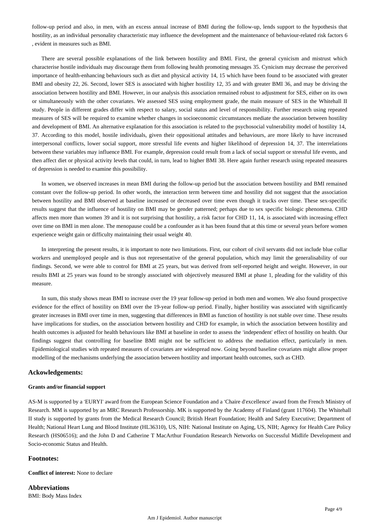follow-up period and also, in men, with an excess annual increase of BMI during the follow-up, lends support to the hypothesis that hostility, as an individual personality characteristic may influence the development and the maintenance of behaviour-related risk factors 6 , evident in measures such as BMI.

There are several possible explanations of the link between hostility and BMI. First, the general cynicism and mistrust which characterise hostile individuals may discourage them from following health promoting messages 35. Cynicism may decrease the perceived importance of health-enhancing behaviours such as diet and physical activity 14, 15 which have been found to be associated with greater BMI and obesity 22, 26. Second, lower SES is associated with higher hostility 12, 35 and with greater BMI 36, and may be driving the association between hostility and BMI. However, in our analysis this association remained robust to adjustment for SES, either on its own or simultaneously with the other covariates. We assessed SES using employment grade, the main measure of SES in the Whitehall II study. People in different grades differ with respect to salary, social status and level of responsibility. Further research using repeated measures of SES will be required to examine whether changes in socioeconomic circumstances mediate the association between hostility and development of BMI. An alternative explanation for this association is related to the psychosocial vulnerability model of hostility 14, 37. According to this model, hostile individuals, given their oppositional attitudes and behaviours, are more likely to have increased interpersonal conflicts, lower social support, more stressful life events and higher likelihood of depression 14, 37. The interrelations between these variables may influence BMI. For example, depression could result from a lack of social support or stressful life events, and then affect diet or physical activity levels that could, in turn, lead to higher BMI 38. Here again further research using repeated measures of depression is needed to examine this possibility.

In women, we observed increases in mean BMI during the follow-up period but the association between hostility and BMI remained constant over the follow-up period. In other words, the interaction term between time and hostility did not suggest that the association between hostility and BMI observed at baseline increased or decreased over time even though it tracks over time. These sex-specific results suggest that the influence of hostility on BMI may be gender patterned; perhaps due to sex specific biologic phenomena. CHD affects men more than women 39 and it is not surprising that hostility, a risk factor for CHD 11, 14, is associated with increasing effect over time on BMI in men alone. The menopause could be a confounder as it has been found that at this time or several years before women experience weight gain or difficulty maintaining their usual weight 40.

In interpreting the present results, it is important to note two limitations. First, our cohort of civil servants did not include blue collar workers and unemployed people and is thus not representative of the general population, which may limit the generalisability of our findings. Second, we were able to control for BMI at 25 years, but was derived from self-reported height and weight. However, in our results BMI at 25 years was found to be strongly associated with objectively measured BMI at phase 1, pleading for the validity of this measure.

In sum, this study shows mean BMI to increase over the 19 year follow-up period in both men and women. We also found prospective evidence for the effect of hostility on BMI over the 19-year follow-up period. Finally, higher hostility was associated with significantly greater increases in BMI over time in men, suggesting that differences in BMI as function of hostility is not stable over time. These results have implications for studies, on the association between hostility and CHD for example, in which the association between hostility and health outcomes is adjusted for health behaviours like BMI at baseline in order to assess the 'independent' effect of hostility on health. Our findings suggest that controlling for baseline BMI might not be sufficient to address the mediation effect, particularly in men. Epidemiological studies with repeated measures of covariates are widespread now. Going beyond baseline covariates might allow proper modelling of the mechanisms underlying the association between hostility and important health outcomes, such as CHD.

#### **Ackowledgements:**

#### **Grants and/or financial support**

AS-M is supported by a 'EURYI' award from the European Science Foundation and a 'Chaire d'excellence' award from the French Ministry of Research. MM is supported by an MRC Research Professorship. MK is supported by the Academy of Finland (grant 117604). The Whitehall II study is supported by grants from the Medical Research Council; British Heart Foundation; Health and Safety Executive; Department of Health; National Heart Lung and Blood Institute (HL36310), US, NIH: National Institute on Aging, US, NIH; Agency for Health Care Policy Research (HS06516); and the John D and Catherine T MacArthur Foundation Research Networks on Successful Midlife Development and Socio-economic Status and Health.

#### **Footnotes:**

**Conflict of interest:** None to declare

**Abbreviations** BMI: Body Mass Index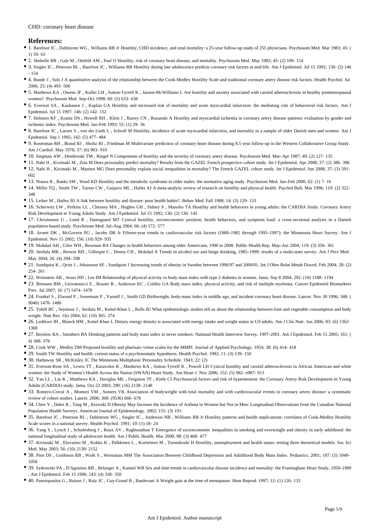#### CHD: coronary heart disease

#### **References:**

- 1. Barefoot JC , Dahlstrom WG , Williams RB Jr Hostility, CHD incidence, and total mortality: a 25-year follow-up study of 255 physicians. Psychosom Med. Mar 1983; 45: ( 1) 59- 63
- 2. Shekelle RB , Gale M , Ostfeld AM , Paul O Hostility, risk of coronary heart disease, and mortality. Psychosom Med. May 1983; 45: (2) 109- 114
- 3. Siegler IC , Peterson BL , Barefoot JC , Williams RB Hostility during late adolescence predicts coronary risk factors at mid-life. Am J Epidemiol. Jul 15 1992; 136: (2) 146  $-154$
- 4. Bunde J , Suls J A quantitative analysis of the relationship between the Cook-Medley Hostility Scale and traditional coronary artery disease risk factors. Health Psychol. Jul 2006; 25: (4) 493- 500
- 5. Matthews KA , Owens JF , Kuller LH , Sutton-Tyrrell K , Jansen-McWilliams L Are hostility and anxiety associated with carotid atherosclerosis in healthy postmenopausal women?. Psychosom Med. Sep–Oct 1998; 60: (5) 633- 638
- 6. Everson SA , Kauhanen J , Kaplan GA Hostility and increased risk of mortality and acute myocardial infarction: the mediating role of behavioral risk factors. Am J Epidemiol. Jul 15 1997; 146; (2) 142-152.
- 7. Helmers KF , Krantz DS , Howell RH , Klein J , Bairey CN , Rozanski A Hostility and myocardial ischemia in coronary artery disease patients: evaluation by gender and ischemic index. Psychosom Med. Jan–Feb 1993; 55: (1) 29- 36
- 8. Barefoot JC , Larsen S , von der Lieth L , Schroll M Hostility, incidence of acute myocardial infarction, and mortality in a sample of older Danish men and women. Am J Epidemiol. Sep 1 1995; 142: (5) 477- 484
- 9. Rosenman RH , Brand RJ , Sholtz RI , Friedman M Multivariate prediction of coronary heart disease during 8.5 year follow-up in the Western Collaborative Group Study. Am J Cardiol. May 1976; 37: (6) 903- 910
- 10. Siegman AW , Dembroski TM , Ringel N Components of hostility and the severity of coronary artery disease. Psychosom Med. Mar–Apr 1987; 49: (2) 127- 135
- 11. Nabi H , Kivimaki M , Zins M Does personality predict mortality? Results from the GAZEL French prospective cohort study. Int J Epidemiol. Apr 2008; 37: (2) 386- 396
- 12. Nabi H , Kivimaki M , Marmot MG Does personality explain social inequalities in mortality? The French GAZEL cohort study. Int J Epidemiol. Jun 2008; 37: (3) 591- 602
- 13. Niaura R , Banks SM , Ward KD Hostility and the metabolic syndrome in older males: the normative aging study. Psychosom Med. Jan–Feb 2000; 62: (1) 7- 16
- 14. Miller TQ , Smith TW , Turner CW , Guijarro ML , Hallet AJ A meta-analytic review of research on hostility and physical health. Psychol Bull. Mar 1996; 119: (2) 322- 348
- 15. Leiker M , Hailey BJ A link between hostility and disease: poor health habits?. Behav Med. Fall 1988; 14: (3) 129- 133
- 16. Scherwitz LW , Perkins LL , Chesney MA , Hughes GH , Sidney S , Manolio TA Hostility and health behaviors in young adults: the CARDIA Study. Coronary Artery Risk Development in Young Adults Study. Am J Epidemiol. Jul 15 1992; 136: (2) 136- 145
- 17. Christensen U , Lund R , Damsgaard MT Cynical hostility, socioeconomic position, health behaviors, and symptom load: a cross-sectional analysis in a Danish population-based study. Psychosom Med. Jul–Aug 2004; 66: (4) 572- 577
- 18. Arnett DK , McGovern PG , Jacobs DR Jr Fifteen-year trends in cardiovascular risk factors (1980–1982 through 1995–1997): the Minnesota Heart Survey. Am J Epidemiol. Nov 15 2002; 156: (10) 929- 935
- 19. Mokdad AH , Giles WH , Bowman BA Changes in health behaviors among older Americans, 1990 to 2000. Public Health Rep. May–Jun 2004; 119: (3) 356- 361
- 20. Serdula MK , Brewer RD , Gillespie C , Denny CH , Mokdad A Trends in alcohol use and binge drinking, 1985–1999: results of a multi-state survey. Am J Prev Med. May 2004; 26: (4) 294- 298
- 21. Sundquist K , Qvist J , Johansson SE , Sundquist J Increasing trends of obesity in Sweden between 1996/97 and 2000/01. Int J Obes Relat Metab Disord. Feb 2004; 28: (2) 254- 261
- 22. Weinstein AR , Sesso HD , Lee IM Relationship of physical activity vs body mass index with type 2 diabetes in women. Jama. Sep 8 2004; 292: (10) 1188- 1194
- 23. Birmann BM , Giovannucci E , Rosner B , Anderson KC , Colditz GA Body mass index, physical activity, and risk of multiple myeloma. Cancer Epidemiol Biomarkers Prev. Jul 2007; 16: (7) 1474- 1478
- 24. Frankel S , Elwood P , Sweetnam P , Yarnell J , Smith GD Birthweight, body-mass index in middle age, and incident coronary heart disease. Lancet. Nov 30 1996; 348: ( 9040) 1478- 1480
- 25. Tohill BC , Seymour J , Serdula M , Kettel-Khan L , Rolls BJ What epidemiologic studies tell us about the relationship between fruit and vegetable consumption and body weight. Nutr Rev. Oct 2004; 62: (10) 365- 374
- 26. Ledikwe JH , Blanck HM , Kettel Khan L Dietary energy density is associated with energy intake and weight status in US adults. Am J Clin Nutr. Jun 2006; 83: (6) 1362- 1368
- 27. Breslow RA , Smothers BA Drinking patterns and body mass index in never smokers: National Health Interview Survey, 1997–2001. Am J Epidemiol. Feb 15 2005; 161: ( 4) 368- 376
- 28. Cook WW , Medley DM Proposed hostility and pharisaic-virtue scales for the MMPI. Journal of Applied Psychology. 1954; 38: (6) 414- 418
- 29. Smith TW Hostility and health: current status of a psychosomatic hypothesis. Health Psychol. 1992; 11: (3) 139- 150
- 30. Hathaway SR , McKinley JC The Minnesota Multiphasic Personality Schedule. 1943; 22: (2)
- 31. Everson-Rose SA, Lewis TT, Karavolos K, Matthews KA, Sutton-Tyrrell K, Powell LH Cynical hostility and carotid atherosclerosis in African American and white women: the Study of Women's Health Across the Nation (SWAN) Heart Study. Am Heart J. Nov 2006; 152: (5) 982- e987- 913
- 32. Yan LL , Liu K , Matthews KA , Daviglus ML , Ferguson TF , Kiefe CI Psychosocial factors and risk of hypertension: the Coronary Artery Risk Development in Young Adults (CARDIA) study. Jama. Oct 22 2003; 290: (16) 2138- 2148
- 33. Romero-Corral A , Montori VM , Somers VK Association of bodyweight with total mortality and with cardiovascular events in coronary artery disease: a systematic review of cohort studies. Lancet. 2006; 368: (9536) 666- 678
- 34. Chen Y , Dales R , Tang M , Krewski D Obesity May Increase the Incidence of Asthma in Women but Not in Men: Longitudinal Observations from the Canadian National Population Health Surveys. American Journal of Epidemiology. 2002; 155: (3) 191-
- 35. Barefoot JC , Peterson BL , Dahlstrom WG , Siegler IC , Anderson NB , Williams RB Jr Hostility patterns and health implications: correlates of Cook-Medley Hostility Scale scores in a national survey. Health Psychol. 1991; 10: (1) 18- 24
- 36. Yang S , Lynch J , Schulenberg J , Roux AV , Raghunathan T Emergence of socioeconomic inequalities in smoking and overweight and obesity in early adulthood: the national longitudinal study of adolescent health. Am J Public Health. Mar 2008; 98: (3) 468- 477
- 37. Kivimaki M , Elovainio M , Kokko K , Pulkkinen L , Kortteinen M , Tuomikoski H Hostility, unemployment and health status: testing three theoretical models. Soc Sci Med. May 2003; 56: (10) 2139- 2152
- 38. Pine DS, Goldstein RB, Wolk S, Weissman MM The Association Between Childhood Depression and Adulthood Body Mass Index. Pediatrics. 2001: 107: (5) 1049-1056
- 39. Sytkowski PA , D'Agostino RB , Belanger A , Kannel WB Sex and time trends in cardiovascular disease incidence and mortality: the Framingham Heart Study, 1950–1989 . Am J Epidemiol. Feb 15 1996; 143: (4) 338- 350
- 40. Panotopoulos G , Raison J , Ruiz JC , Guy-Grand B , Basdevant A Weight gain at the time of menopause. Hum Reprod. 1997; 12: (1) 126- 133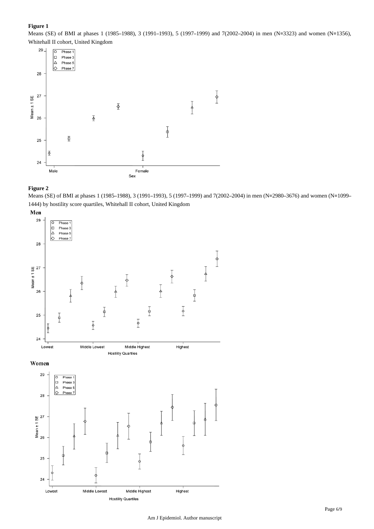### **Figure 1**

Means (SE) of BMI at phases 1 (1985–1988), 3 (1991–1993), 5 (1997–1999) and 7(2002–2004) in men (N=3323) and women (N=1356), Whitehall II cohort, United Kingdom



#### **Figure 2**

Means (SE) of BMI at phases 1 (1985–1988), 3 (1991–1993), 5 (1997–1999) and 7(2002–2004) in men (N=2980–3676) and women (N=1099– 1444) by hostility score quartiles, Whitehall II cohort, United Kingdom

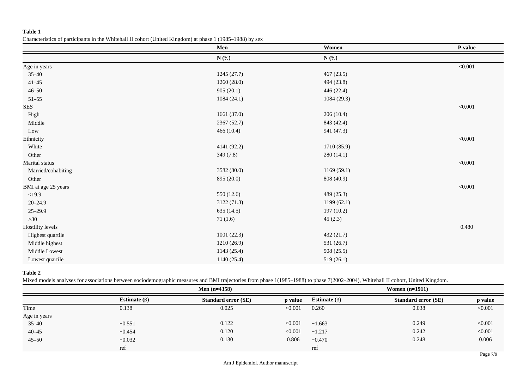## **Table 1**

#### Characteristics of participants in the Whitehall II cohort (United Kingdom) at phase 1 (1985–1988) by sex

|                     | Men         | Women       | P value      |
|---------------------|-------------|-------------|--------------|
|                     | $N$ (%)     | $N$ (%)     |              |
| Age in years        |             |             | $<\!\!0.001$ |
| $35 - 40$           | 1245(27.7)  | 467(23.5)   |              |
| $41 - 45$           | 1260(28.0)  | 494 (23.8)  |              |
| $46 - 50$           | 905(20.1)   | 446 (22.4)  |              |
| $51 - 55$           | 1084(24.1)  | 1084 (29.3) |              |
| <b>SES</b>          |             |             | < 0.001      |
| High                | 1661(37.0)  | 206(10.4)   |              |
| Middle              | 2367(52.7)  | 843 (42.4)  |              |
| $_{\rm Low}$        | 466 (10.4)  | 941 (47.3)  |              |
| Ethnicity           |             |             | < 0.001      |
| White               | 4141 (92.2) | 1710 (85.9) |              |
| Other               | 349(7.8)    | 280(14.1)   |              |
| Marital status      |             |             | < 0.001      |
| Married/cohabiting  | 3582 (80.0) | 1169(59.1)  |              |
| Other               | 895 (20.0)  | 808 (40.9)  |              |
| BMI at age 25 years |             |             | < 0.001      |
| <19.9               | 550 (12.6)  | 489 (25.3)  |              |
| $20 - 24.9$         | 3122 (71.3) | 1199(62.1)  |              |
| $25 - 29.9$         | 635 (14.5)  | 197(10.2)   |              |
| $>30$               | 71(1.6)     | 45(2.3)     |              |
| Hostility levels    |             |             | 0.480        |
| Highest quartile    | 1001(22.3)  | 432 (21.7)  |              |
| Middle highest      | 1210 (26.9) | 531 (26.7)  |              |
| Middle Lowest       | 1143 (25.4) | 508 (25.5)  |              |
| Lowest quartile     | 1140 (25.4) | 519(26.1)   |              |

## **Table 2**

Mixed models analyses for associations between sociodemographic measures and BMI trajectories from phase 1(1985–1988) to phase 7(2002–2004), Whitehall II cohort, United Kingdom.

|              |                    | Men $(n=4358)$             |         |                    | Women $(n=1911)$           |         |  |
|--------------|--------------------|----------------------------|---------|--------------------|----------------------------|---------|--|
|              | Estimate $(\beta)$ | <b>Standard error (SE)</b> | p value | Estimate $(\beta)$ | <b>Standard error (SE)</b> | p value |  |
| Time         | 0.138              | 0.025                      | < 0.001 | 0.260              | 0.038                      | < 0.001 |  |
| Age in years |                    |                            |         |                    |                            |         |  |
| $35 - 40$    | $-0.551$           | 0.122                      | < 0.001 | $-1.663$           | 0.249                      | < 0.001 |  |
| $40 - 45$    | $-0.454$           | 0.120                      | < 0.001 | $-1.217$           | 0.242                      | < 0.001 |  |
| $45 - 50$    | $-0.032$           | 0.130                      | 0.806   | $-0.470$           | 0.248                      | 0.006   |  |
|              | ref                |                            |         | ref                |                            |         |  |
|              |                    |                            |         |                    |                            |         |  |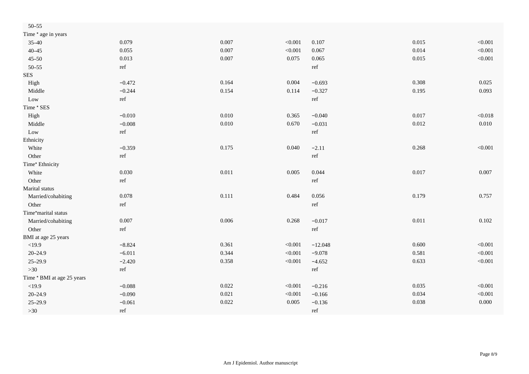| $50 - 55$                  |                      |           |         |                      |       |         |
|----------------------------|----------------------|-----------|---------|----------------------|-------|---------|
| Time * age in years        |                      |           |         |                      |       |         |
| $35 - 40$                  | 0.079                | 0.007     | < 0.001 | 0.107                | 0.015 | < 0.001 |
| $40 - 45$                  | 0.055                | 0.007     | < 0.001 | 0.067                | 0.014 | < 0.001 |
| $45 - 50$                  | 0.013                | 0.007     | 0.075   | 0.065                | 0.015 | < 0.001 |
| $50 - 55$                  | ref                  |           |         | $\operatorname{ref}$ |       |         |
| <b>SES</b>                 |                      |           |         |                      |       |         |
| High                       | $-0.472$             | 0.164     | 0.004   | $-0.693$             | 0.308 | 0.025   |
| Middle                     | $-0.244$             | 0.154     | 0.114   | $-0.327$             | 0.195 | 0.093   |
| Low                        | ref                  |           |         | $\operatorname{ref}$ |       |         |
| Time * SES                 |                      |           |         |                      |       |         |
| High                       | $-0.010$             | 0.010     | 0.365   | $-0.040$             | 0.017 | < 0.018 |
| Middle                     | $-0.008$             | $0.010\,$ | 0.670   | $-0.031$             | 0.012 | 0.010   |
| Low                        | ref                  |           |         | ref                  |       |         |
| Ethnicity                  |                      |           |         |                      |       |         |
| White                      | $-0.359$             | 0.175     | 0.040   | $-2.11$              | 0.268 | < 0.001 |
| Other                      | ref                  |           |         | ref                  |       |         |
| Time* Ethnicity            |                      |           |         |                      |       |         |
| White                      | 0.030                | $0.011\,$ | 0.005   | 0.044                | 0.017 | 0.007   |
| Other                      | ref                  |           |         | ref                  |       |         |
| Marital status             |                      |           |         |                      |       |         |
| Married/cohabiting         | 0.078                | 0.111     | 0.484   | 0.056                | 0.179 | 0.757   |
| Other                      | $\operatorname{ref}$ |           |         | ref                  |       |         |
| Time*marital status        |                      |           |         |                      |       |         |
| Married/cohabiting         | 0.007                | 0.006     | 0.268   | $-0.017$             | 0.011 | 0.102   |
| Other                      | $\operatorname{ref}$ |           |         | $\operatorname{ref}$ |       |         |
| BMI at age 25 years        |                      |           |         |                      |       |         |
| <19.9                      | $-8.824$             | 0.361     | < 0.001 | $-12.048$            | 0.600 | < 0.001 |
| $20 - 24.9$                | $-6.011$             | 0.344     | < 0.001 | $-9.078$             | 0.581 | < 0.001 |
| $25 - 29.9$                | $-2.420$             | 0.358     | < 0.001 | $-4.652$             | 0.633 | < 0.001 |
| $>30$                      | $\operatorname{ref}$ |           |         | $\operatorname{ref}$ |       |         |
| Time * BMI at age 25 years |                      |           |         |                      |       |         |
| <19.9                      | $-0.088$             | 0.022     | < 0.001 | $-0.216$             | 0.035 | < 0.001 |
| $20 - 24.9$                | $-0.090$             | 0.021     | < 0.001 | $-0.166$             | 0.034 | < 0.001 |
| $25 - 29.9$                | $-0.061$             | 0.022     | 0.005   | $-0.136$             | 0.038 | 0.000   |
| $>30$                      | ref                  |           |         | ref                  |       |         |